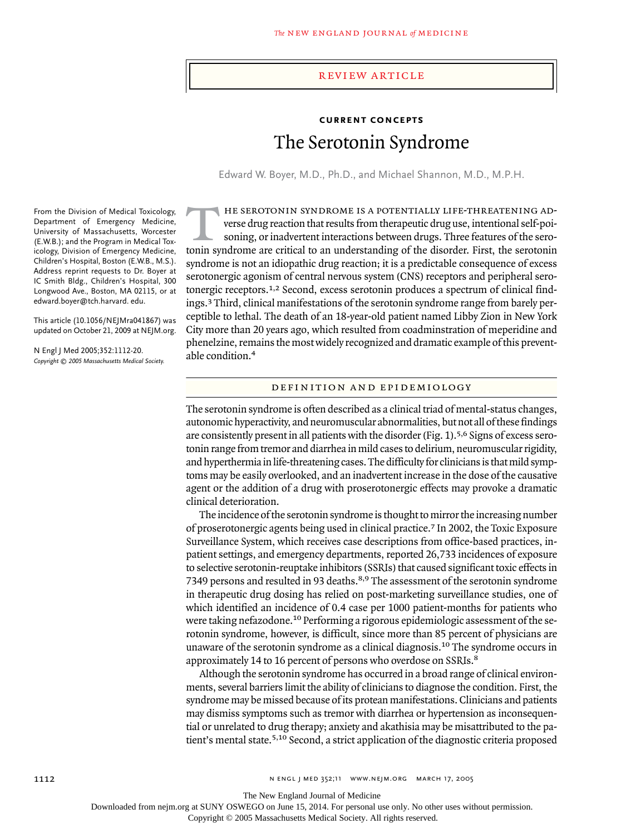#### review article

# **current concepts** The Serotonin Syndrome

Edward W. Boyer, M.D., Ph.D., and Michael Shannon, M.D., M.P.H.

he serotonin syndrome is a potentially life-threatening adverse drug reaction that results from therapeutic drug use, intentional self-poisoning, or inadvertent interactions between drugs. Three features of the serotonin syndrome are critical to an understanding of the disorder. First, the serotonin syndrome is not an idiopathic drug reaction; it is a predictable consequence of excess serotonergic agonism of central nervous system (CNS) receptors and peripheral serotonergic receptors.1,2 Second, excess serotonin produces a spectrum of clinical findings.3 Third, clinical manifestations of the serotonin syndrome range from barely perceptible to lethal. The death of an 18-year-old patient named Libby Zion in New York City more than 20 years ago, which resulted from coadminstration of meperidine and phenelzine, remains the most widely recognized and dramatic example of this preventable condition.<sup>4</sup>  $\overline{T}$ 

#### definition and epidemiology

The serotonin syndrome is often described as a clinical triad of mental-status changes, autonomic hyperactivity, and neuromuscular abnormalities, but not all of these findings are consistently present in all patients with the disorder (Fig. 1).5,6 Signs of excess serotonin range from tremor and diarrhea in mild cases to delirium, neuromuscular rigidity, and hyperthermia in life-threatening cases. The difficulty for clinicians is that mild symptoms may be easily overlooked, and an inadvertent increase in the dose of the causative agent or the addition of a drug with proserotonergic effects may provoke a dramatic clinical deterioration.

The incidence of the serotonin syndrome is thought to mirror the increasing number of proserotonergic agents being used in clinical practice.7 In 2002, the Toxic Exposure Surveillance System, which receives case descriptions from office-based practices, inpatient settings, and emergency departments, reported 26,733 incidences of exposure to selective serotonin-reuptake inhibitors (SSRIs) that caused significant toxic effects in 7349 persons and resulted in 93 deaths.<sup>8,9</sup> The assessment of the serotonin syndrome in therapeutic drug dosing has relied on post-marketing surveillance studies, one of which identified an incidence of 0.4 case per 1000 patient-months for patients who were taking nefazodone.<sup>10</sup> Performing a rigorous epidemiologic assessment of the serotonin syndrome, however, is difficult, since more than 85 percent of physicians are unaware of the serotonin syndrome as a clinical diagnosis.10 The syndrome occurs in approximately 14 to 16 percent of persons who overdose on SSRIs.<sup>8</sup>

Although the serotonin syndrome has occurred in a broad range of clinical environments, several barriers limit the ability of clinicians to diagnose the condition. First, the syndrome may be missed because of its protean manifestations. Clinicians and patients may dismiss symptoms such as tremor with diarrhea or hypertension as inconsequential or unrelated to drug therapy; anxiety and akathisia may be misattributed to the patient's mental state.<sup>5,10</sup> Second, a strict application of the diagnostic criteria proposed

From the Division of Medical Toxicology, Department of Emergency Medicine, University of Massachusetts, Worcester (E.W.B.); and the Program in Medical Toxicology, Division of Emergency Medicine, Children's Hospital, Boston (E.W.B., M.S.). Address reprint requests to Dr. Boyer at IC Smith Bldg., Children's Hospital, 300 Longwood Ave., Boston, MA 02115, or at edward.boyer@tch.harvard. edu.

This article (10.1056/NEJMra041867) was updated on October 21, 2009 at NEJM.org.

N Engl J Med 2005;352:1112-20. *Copyright © 2005 Massachusetts Medical Society.*

The New England Journal of Medicine

Downloaded from nejm.org at SUNY OSWEGO on June 15, 2014. For personal use only. No other uses without permission.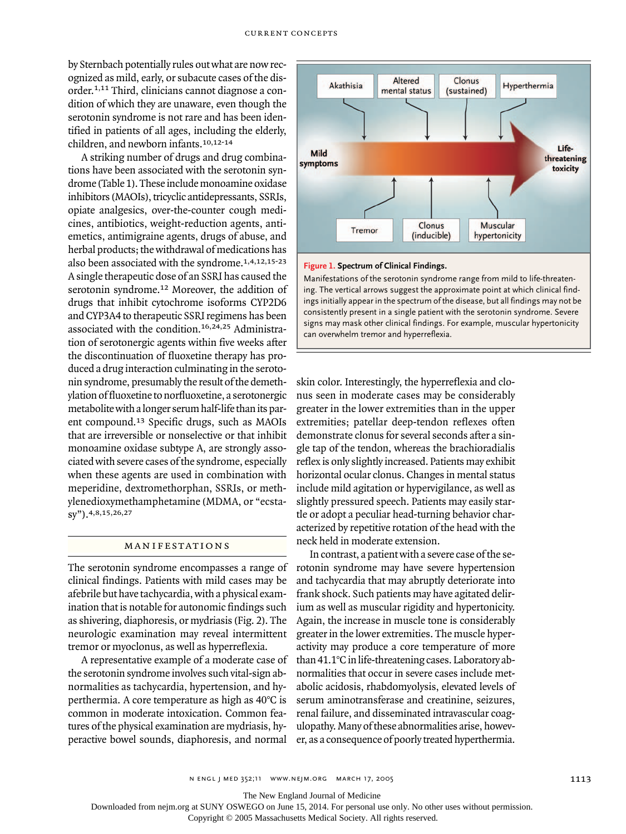by Sternbach potentially rules out what are now recognized as mild, early, or subacute cases of the disorder.1,11 Third, clinicians cannot diagnose a condition of which they are unaware, even though the serotonin syndrome is not rare and has been identified in patients of all ages, including the elderly, children, and newborn infants.10,12-14

A striking number of drugs and drug combinations have been associated with the serotonin syndrome (Table 1). These include monoamine oxidase inhibitors (MAOIs), tricyclic antidepressants, SSRIs, opiate analgesics, over-the-counter cough medicines, antibiotics, weight-reduction agents, antiemetics, antimigraine agents, drugs of abuse, and herbal products; the withdrawal of medications has also been associated with the syndrome.1,4,12,15-23 A single therapeutic dose of an SSRI has caused the serotonin syndrome.12 Moreover, the addition of drugs that inhibit cytochrome isoforms CYP2D6 and CYP3A4 to therapeutic SSRI regimens has been associated with the condition.16,24,25 Administration of serotonergic agents within five weeks after the discontinuation of fluoxetine therapy has produced a drug interaction culminating in the serotonin syndrome, presumably the result of the demethylation of fluoxetine to norfluoxetine, a serotonergic metabolite with a longer serum half-life than its parent compound.13 Specific drugs, such as MAOIs that are irreversible or nonselective or that inhibit monoamine oxidase subtype A, are strongly associated with severe cases of the syndrome, especially when these agents are used in combination with meperidine, dextromethorphan, SSRIs, or methylenedioxymethamphetamine (MDMA, or "ecstasy").4,8,15,26,27

#### manifestations

The serotonin syndrome encompasses a range of clinical findings. Patients with mild cases may be afebrile but have tachycardia, with a physical examination that is notable for autonomic findings such as shivering, diaphoresis, or mydriasis (Fig. 2). The neurologic examination may reveal intermittent tremor or myoclonus, as well as hyperreflexia.

A representative example of a moderate case of the serotonin syndrome involves such vital-sign abnormalities as tachycardia, hypertension, and hyperthermia. A core temperature as high as 40°C is common in moderate intoxication. Common features of the physical examination are mydriasis, hyperactive bowel sounds, diaphoresis, and normal



#### **Figure 1. Spectrum of Clinical Findings.**

Manifestations of the serotonin syndrome range from mild to life-threatening. The vertical arrows suggest the approximate point at which clinical findings initially appear in the spectrum of the disease, but all findings may not be consistently present in a single patient with the serotonin syndrome. Severe signs may mask other clinical findings. For example, muscular hypertonicity can overwhelm tremor and hyperreflexia.

skin color. Interestingly, the hyperreflexia and clonus seen in moderate cases may be considerably greater in the lower extremities than in the upper extremities; patellar deep-tendon reflexes often demonstrate clonus for several seconds after a single tap of the tendon, whereas the brachioradialis reflex is only slightly increased. Patients may exhibit horizontal ocular clonus. Changes in mental status include mild agitation or hypervigilance, as well as slightly pressured speech. Patients may easily startle or adopt a peculiar head-turning behavior characterized by repetitive rotation of the head with the neck held in moderate extension.

In contrast, a patient with a severe case of the serotonin syndrome may have severe hypertension and tachycardia that may abruptly deteriorate into frank shock. Such patients may have agitated delirium as well as muscular rigidity and hypertonicity. Again, the increase in muscle tone is considerably greater in the lower extremities. The muscle hyperactivity may produce a core temperature of more than 41.1°C in life-threatening cases. Laboratory abnormalities that occur in severe cases include metabolic acidosis, rhabdomyolysis, elevated levels of serum aminotransferase and creatinine, seizures, renal failure, and disseminated intravascular coagulopathy. Many of these abnormalities arise, however, as a consequence of poorly treated hyperthermia.

1113

The New England Journal of Medicine

Downloaded from nejm.org at SUNY OSWEGO on June 15, 2014. For personal use only. No other uses without permission.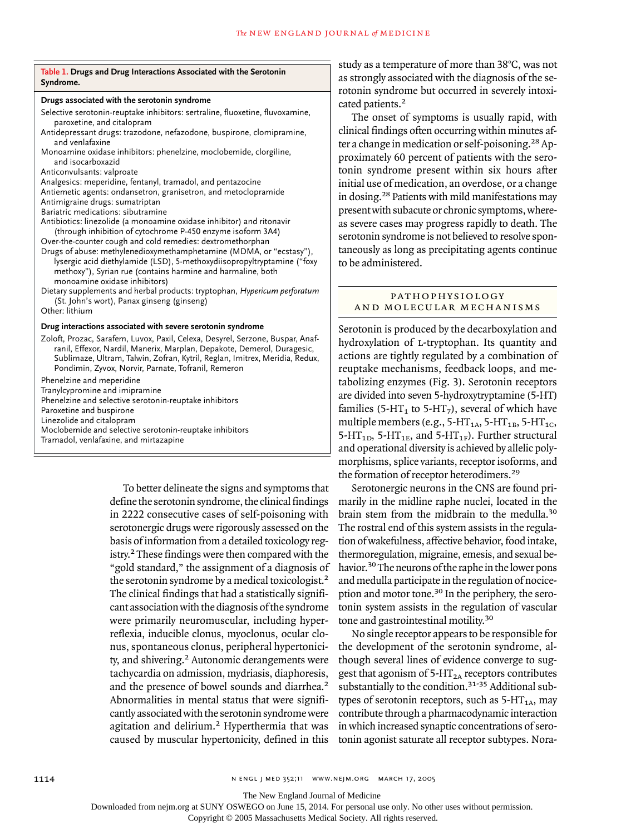#### **Table 1. Drugs and Drug Interactions Associated with the Serotonin Syndrome.**

#### **Drugs associated with the serotonin syndrome**

Selective serotonin-reuptake inhibitors: sertraline, fluoxetine, fluvoxamine, paroxetine, and citalopram

- Antidepressant drugs: trazodone, nefazodone, buspirone, clomipramine, and venlafaxine
- Monoamine oxidase inhibitors: phenelzine, moclobemide, clorgiline, and isocarboxazid
- Anticonvulsants: valproate

Analgesics: meperidine, fentanyl, tramadol, and pentazocine

Antiemetic agents: ondansetron, granisetron, and metoclopramide

- Antimigraine drugs: sumatriptan Bariatric medications: sibutramine
- 

Antibiotics: linezolide (a monoamine oxidase inhibitor) and ritonavir (through inhibition of cytochrome P-450 enzyme isoform 3A4)

Over-the-counter cough and cold remedies: dextromethorphan Drugs of abuse: methylenedioxymethamphetamine (MDMA, or "ecstasy"),

lysergic acid diethylamide (LSD), 5-methoxydiisopropyltryptamine ("foxy methoxy"), Syrian rue (contains harmine and harmaline, both

monoamine oxidase inhibitors)

Dietary supplements and herbal products: tryptophan, *Hypericum perforatum* (St. John's wort), Panax ginseng (ginseng) Other: lithium

## **Drug interactions associated with severe serotonin syndrome**

Zoloft, Prozac, Sarafem, Luvox, Paxil, Celexa, Desyrel, Serzone, Buspar, Anafranil, Effexor, Nardil, Manerix, Marplan, Depakote, Demerol, Duragesic, Sublimaze, Ultram, Talwin, Zofran, Kytril, Reglan, Imitrex, Meridia, Redux, Pondimin, Zyvox, Norvir, Parnate, Tofranil, Remeron

Phenelzine and meperidine

Tranylcypromine and imipramine

Phenelzine and selective serotonin-reuptake inhibitors

Paroxetine and buspirone

Linezolide and citalopram

Moclobemide and selective serotonin-reuptake inhibitors Tramadol, venlafaxine, and mirtazapine

To better delineate the signs and symptoms that define the serotonin syndrome, the clinical findings in 2222 consecutive cases of self-poisoning with serotonergic drugs were rigorously assessed on the basis of information from a detailed toxicology registry.2 These findings were then compared with the "gold standard," the assignment of a diagnosis of the serotonin syndrome by a medical toxicologist.<sup>2</sup> The clinical findings that had a statistically significant association with the diagnosis of the syndrome were primarily neuromuscular, including hyperreflexia, inducible clonus, myoclonus, ocular clonus, spontaneous clonus, peripheral hypertonicity, and shivering.<sup>2</sup> Autonomic derangements were tachycardia on admission, mydriasis, diaphoresis, and the presence of bowel sounds and diarrhea.<sup>2</sup> Abnormalities in mental status that were significantly associated with the serotonin syndrome were agitation and delirium.2 Hyperthermia that was caused by muscular hypertonicity, defined in this study as a temperature of more than 38°C, was not as strongly associated with the diagnosis of the serotonin syndrome but occurred in severely intoxicated patients.<sup>2</sup>

The onset of symptoms is usually rapid, with clinical findings often occurring within minutes after a change in medication or self-poisoning.28 Approximately 60 percent of patients with the serotonin syndrome present within six hours after initial use of medication, an overdose, or a change in dosing.28 Patients with mild manifestations may present with subacute or chronic symptoms, whereas severe cases may progress rapidly to death. The serotonin syndrome is not believed to resolve spontaneously as long as precipitating agents continue to be administered.

## pathophysiology and molecular mechanisms

Serotonin is produced by the decarboxylation and hydroxylation of L-tryptophan. Its quantity and actions are tightly regulated by a combination of reuptake mechanisms, feedback loops, and metabolizing enzymes (Fig. 3). Serotonin receptors are divided into seven 5-hydroxytryptamine (5-HT) families (5-HT<sub>1</sub> to 5-HT<sub>7</sub>), several of which have multiple members (e.g.,  $5-HT_{1A}$ ,  $5-HT_{1B}$ ,  $5-HT_{1C}$ , 5-HT<sub>1D</sub>, 5-HT<sub>1E</sub>, and 5-HT<sub>1F</sub>). Further structural and operational diversity is achieved by allelic polymorphisms, splice variants, receptor isoforms, and the formation of receptor heterodimers.<sup>29</sup>

Serotonergic neurons in the CNS are found primarily in the midline raphe nuclei, located in the brain stem from the midbrain to the medulla.<sup>30</sup> The rostral end of this system assists in the regulation of wakefulness, affective behavior, food intake, thermoregulation, migraine, emesis, and sexual behavior.<sup>30</sup> The neurons of the raphe in the lower pons and medulla participate in the regulation of nociception and motor tone.<sup>30</sup> In the periphery, the serotonin system assists in the regulation of vascular tone and gastrointestinal motility.<sup>30</sup>

No single receptor appears to be responsible for the development of the serotonin syndrome, although several lines of evidence converge to suggest that agonism of  $5-HT<sub>2A</sub>$  receptors contributes substantially to the condition.<sup>31-35</sup> Additional subtypes of serotonin receptors, such as  $5-HT<sub>1A</sub>$ , may contribute through a pharmacodynamic interaction in which increased synaptic concentrations of serotonin agonist saturate all receptor subtypes. Nora-

The New England Journal of Medicine

Downloaded from nejm.org at SUNY OSWEGO on June 15, 2014. For personal use only. No other uses without permission.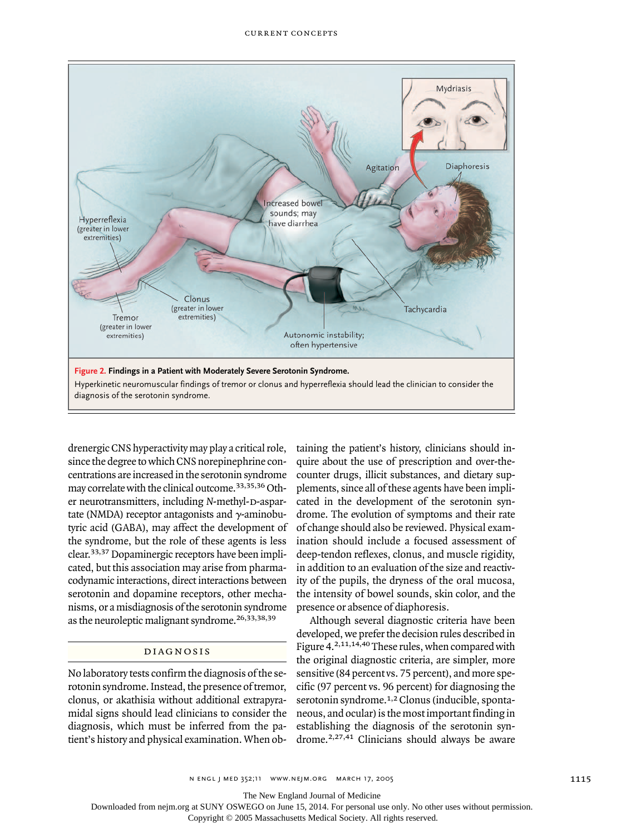

drenergic CNS hyperactivity may play a critical role, since the degree to which CNS norepinephrine concentrations are increased in the serotonin syndrome may correlate with the clinical outcome.<sup>33,35,36</sup> Other neurotransmitters, including *N*-methyl-D-aspartate (NMDA) receptor antagonists and  $\gamma$ -aminobutyric acid (GABA), may affect the development of the syndrome, but the role of these agents is less clear.33,37 Dopaminergic receptors have been implicated, but this association may arise from pharmacodynamic interactions, direct interactions between serotonin and dopamine receptors, other mechanisms, or a misdiagnosis of the serotonin syndrome as the neuroleptic malignant syndrome.<sup>26,33,38,39</sup>

## diagnosis

No laboratory tests confirm the diagnosis of the serotonin syndrome. Instead, the presence of tremor, clonus, or akathisia without additional extrapyramidal signs should lead clinicians to consider the diagnosis, which must be inferred from the patient's history and physical examination. When obtaining the patient's history, clinicians should inquire about the use of prescription and over-thecounter drugs, illicit substances, and dietary supplements, since all of these agents have been implicated in the development of the serotonin syndrome. The evolution of symptoms and their rate of change should also be reviewed. Physical examination should include a focused assessment of deep-tendon reflexes, clonus, and muscle rigidity, in addition to an evaluation of the size and reactivity of the pupils, the dryness of the oral mucosa, the intensity of bowel sounds, skin color, and the presence or absence of diaphoresis.

Although several diagnostic criteria have been developed, we prefer the decision rules described in Figure 4.2,11,14,40 These rules, when compared with the original diagnostic criteria, are simpler, more sensitive (84 percent vs. 75 percent), and more specific (97 percent vs. 96 percent) for diagnosing the serotonin syndrome.<sup>1,2</sup> Clonus (inducible, spontaneous, and ocular) is the most important finding in establishing the diagnosis of the serotonin syndrome.2,27,41 Clinicians should always be aware

1115

The New England Journal of Medicine

Downloaded from nejm.org at SUNY OSWEGO on June 15, 2014. For personal use only. No other uses without permission.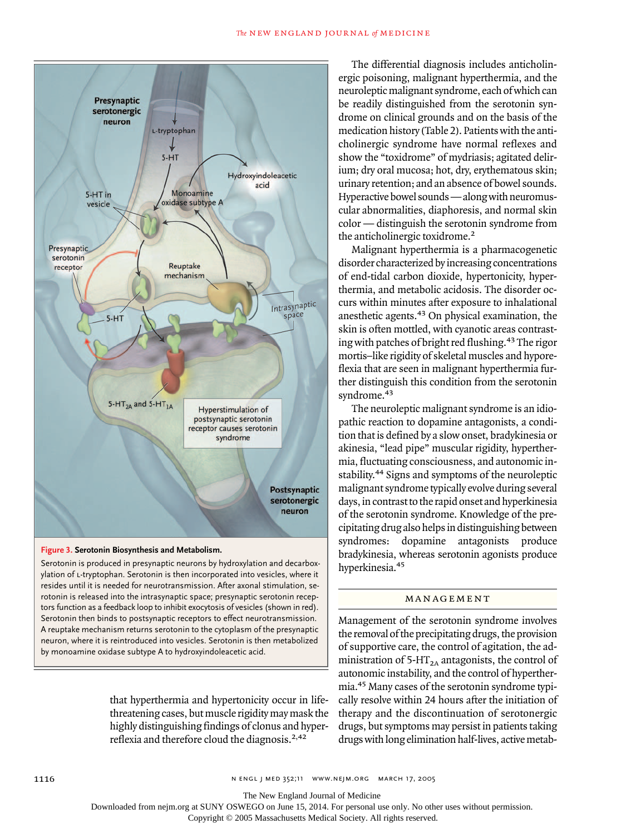

## **Figure 3. Serotonin Biosynthesis and Metabolism.**

Serotonin is produced in presynaptic neurons by hydroxylation and decarboxylation of l-tryptophan. Serotonin is then incorporated into vesicles, where it resides until it is needed for neurotransmission. After axonal stimulation, serotonin is released into the intrasynaptic space; presynaptic serotonin receptors function as a feedback loop to inhibit exocytosis of vesicles (shown in red). Serotonin then binds to postsynaptic receptors to effect neurotransmission. A reuptake mechanism returns serotonin to the cytoplasm of the presynaptic neuron, where it is reintroduced into vesicles. Serotonin is then metabolized by monoamine oxidase subtype A to hydroxyindoleacetic acid.

> that hyperthermia and hypertonicity occur in lifethreatening cases, but muscle rigidity may mask the highly distinguishing findings of clonus and hyperreflexia and therefore cloud the diagnosis.2,42

The differential diagnosis includes anticholinergic poisoning, malignant hyperthermia, and the neuroleptic malignant syndrome, each of which can be readily distinguished from the serotonin syndrome on clinical grounds and on the basis of the medication history (Table 2). Patients with the anticholinergic syndrome have normal reflexes and show the "toxidrome" of mydriasis; agitated delirium; dry oral mucosa; hot, dry, erythematous skin; urinary retention; and an absence of bowel sounds. Hyperactive bowel sounds — along with neuromuscular abnormalities, diaphoresis, and normal skin color — distinguish the serotonin syndrome from the anticholinergic toxidrome.<sup>2</sup>

Malignant hyperthermia is a pharmacogenetic disorder characterized by increasing concentrations of end-tidal carbon dioxide, hypertonicity, hyperthermia, and metabolic acidosis. The disorder occurs within minutes after exposure to inhalational anesthetic agents.<sup>43</sup> On physical examination, the skin is often mottled, with cyanotic areas contrasting with patches of bright red flushing.<sup>43</sup> The rigor mortis–like rigidity of skeletal muscles and hyporeflexia that are seen in malignant hyperthermia further distinguish this condition from the serotonin syndrome.<sup>43</sup>

The neuroleptic malignant syndrome is an idiopathic reaction to dopamine antagonists, a condition that is defined by a slow onset, bradykinesia or akinesia, "lead pipe" muscular rigidity, hyperthermia, fluctuating consciousness, and autonomic instability.44 Signs and symptoms of the neuroleptic malignant syndrome typically evolve during several days, in contrast to the rapid onset and hyperkinesia of the serotonin syndrome. Knowledge of the precipitating drug also helps in distinguishing between syndromes: dopamine antagonists produce bradykinesia, whereas serotonin agonists produce hyperkinesia.<sup>45</sup>

## management

Management of the serotonin syndrome involves the removal of the precipitating drugs, the provision of supportive care, the control of agitation, the administration of  $5-HT_{2A}$  antagonists, the control of autonomic instability, and the control of hyperthermia.45 Many cases of the serotonin syndrome typically resolve within 24 hours after the initiation of therapy and the discontinuation of serotonergic drugs, but symptoms may persist in patients taking drugs with long elimination half-lives, active metab-

The New England Journal of Medicine

Downloaded from nejm.org at SUNY OSWEGO on June 15, 2014. For personal use only. No other uses without permission.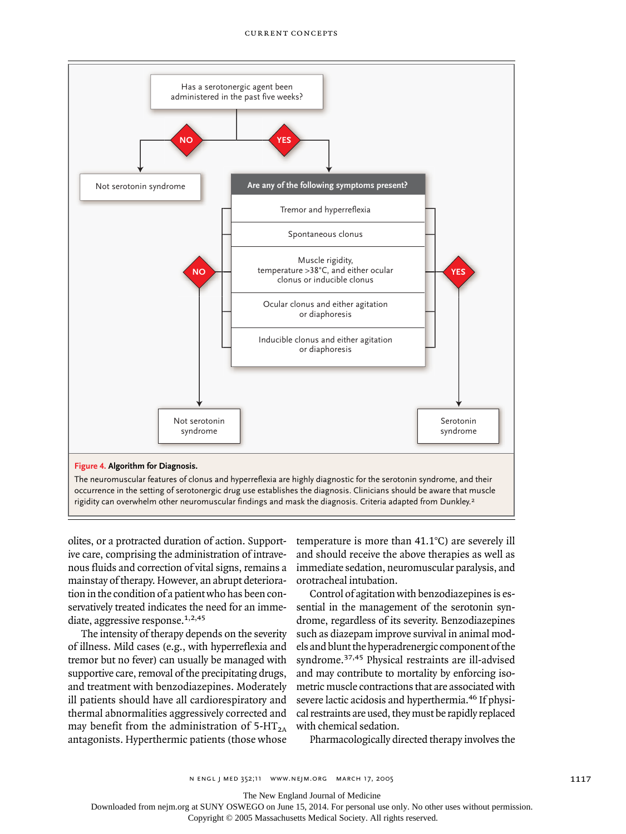

olites, or a protracted duration of action. Supportive care, comprising the administration of intravenous fluids and correction of vital signs, remains a mainstay of therapy. However, an abrupt deterioration in the condition of a patient who has been conservatively treated indicates the need for an immediate, aggressive response.<sup>1,2,45</sup>

The intensity of therapy depends on the severity of illness. Mild cases (e.g., with hyperreflexia and tremor but no fever) can usually be managed with supportive care, removal of the precipitating drugs, and treatment with benzodiazepines. Moderately ill patients should have all cardiorespiratory and thermal abnormalities aggressively corrected and may benefit from the administration of  $5-HT_{2A}$ antagonists. Hyperthermic patients (those whose

temperature is more than 41.1°C) are severely ill and should receive the above therapies as well as immediate sedation, neuromuscular paralysis, and orotracheal intubation.

Control of agitation with benzodiazepines is essential in the management of the serotonin syndrome, regardless of its severity. Benzodiazepines such as diazepam improve survival in animal models and blunt the hyperadrenergic component of the syndrome.37,45 Physical restraints are ill-advised and may contribute to mortality by enforcing isometric muscle contractions that are associated with severe lactic acidosis and hyperthermia.<sup>46</sup> If physical restraints are used, they must be rapidly replaced with chemical sedation.

Pharmacologically directed therapy involves the

The New England Journal of Medicine

Downloaded from nejm.org at SUNY OSWEGO on June 15, 2014. For personal use only. No other uses without permission.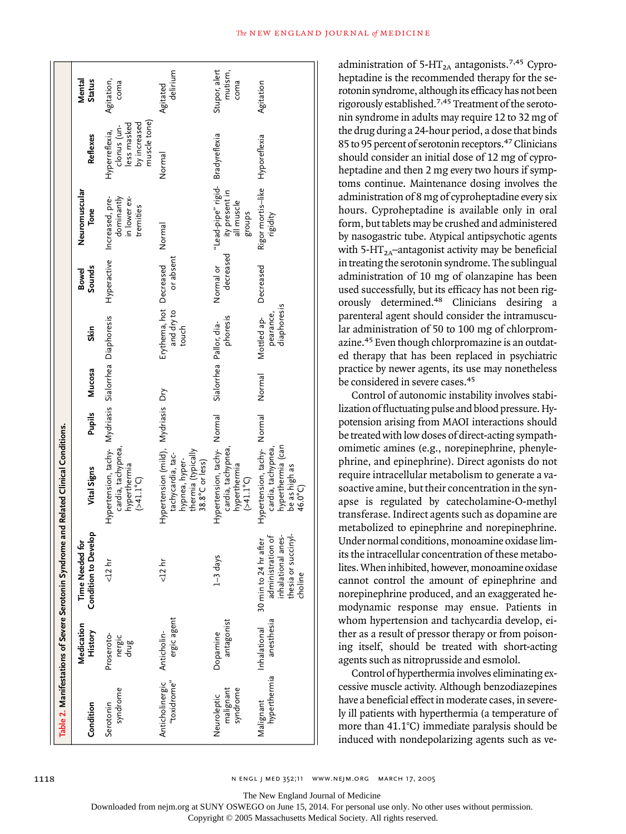|                                                                                       | Mental<br><b>Status</b>                               | Agitation,<br>coma                                                                                               | Agitated<br>delirium                                                                                               | Stupor, alert<br>mutism,<br>coma                                                           | Agitation                                                                                                     |
|---------------------------------------------------------------------------------------|-------------------------------------------------------|------------------------------------------------------------------------------------------------------------------|--------------------------------------------------------------------------------------------------------------------|--------------------------------------------------------------------------------------------|---------------------------------------------------------------------------------------------------------------|
| Table 2. Manifestations of Severe Serotonin Syndrome and Related Clinical Conditions. | <b>Reflexes</b>                                       | muscle tone)<br>by increased<br>less masked<br>clonus (un-<br>Hyperreflexia,                                     | Normal                                                                                                             | Bradyreflexia                                                                              | Hyporeflexia                                                                                                  |
|                                                                                       | Neuromuscular<br>Tone                                 | dominantly<br>in lower ex-<br>Increased, pre-<br>tremities                                                       | Normal                                                                                                             | "Lead-pipe" rigid-<br>ity present in<br>all muscle<br>slnoug                               | Rigor mortis-like<br>rigidity                                                                                 |
|                                                                                       | Sounds<br>Bowel                                       | Hyperactive                                                                                                      | or absent                                                                                                          | decreased<br>Normal or                                                                     | Decreased                                                                                                     |
|                                                                                       | Skin                                                  |                                                                                                                  | Erythema, hot Decreased<br>and dry to or abser<br>touch                                                            | phoresis                                                                                   | diaphoresis<br>pearance,<br>Mottled ap-                                                                       |
|                                                                                       | Mucosa                                                |                                                                                                                  |                                                                                                                    | Sialorrhea Pallor, dia-                                                                    | Normal                                                                                                        |
|                                                                                       | Pupils                                                |                                                                                                                  |                                                                                                                    |                                                                                            |                                                                                                               |
|                                                                                       | Vital Signs                                           | Hypertension, tachy- Mydriasis Sialorrhea Diaphoresis<br>cardia, tachypnea<br>hyperthermia<br>$(341.1^{\circ}C)$ | Hypertension (mild), Mydriasis Dry<br>hypnea, hyper-<br>thermia (typically<br>tachycardia, tac-<br>38.8°C or less) | Hypertension, tachy- Normal<br>cardia, tachypnea,<br>hyperthermia<br>$(\geq 1.1^{\circ}C)$ | Hypertension, tachy- Normal<br>hyperthermia (can<br>cardia, tachypnea<br>be as high as<br>46.0°C)             |
|                                                                                       | <b>Condition to Develop</b><br><b>Time Needed for</b> | $<$ 12 $hr$                                                                                                      | $12$ hr                                                                                                            | $1 - 3$ days                                                                               | thesia or succinyl-<br>anes-<br>ion of<br>after<br>30 min to 24 hr<br>administrati<br>inhalational<br>choline |
|                                                                                       | Medication<br>History                                 | Proseroto-<br>nergic<br>drug                                                                                     | ergic agent<br>Anticholin-                                                                                         | antagonist<br>Dopamine                                                                     | anesthesia<br>Inhalational                                                                                    |
|                                                                                       | Condition                                             | syndrome<br>Serotonin                                                                                            | Anticholinergic<br>"toxidrome"                                                                                     | malignant<br>syndrome<br>Neuroleptic                                                       | hyperthermia<br>Malignant                                                                                     |

administration of  $5-HT_{2A}$  antagonists.<sup>7,45</sup> Cyproheptadine is the recommended therapy for the serotonin syndrome, although its efficacy has not been rigorously established.7,45 Treatment of the serotonin syndrome in adults may require 12 to 32 mg of the drug during a 24-hour period, a dose that binds 85 to 95 percent of serotonin receptors.<sup>47</sup> Clinicians should consider an initial dose of 12 mg of cyproheptadine and then 2 mg every two hours if symptoms continue. Maintenance dosing involves the administration of 8 mg of cyproheptadine every six hours. Cyproheptadine is available only in oral form, but tablets may be crushed and administered by nasogastric tube. Atypical antipsychotic agents with 5-HT<sub>2A</sub>–antagonist activity may be beneficial in treating the serotonin syndrome. The sublingual administration of 10 mg of olanzapine has been used successfully, but its efficacy has not been rigorously determined.48 Clinicians desiring a parenteral agent should consider the intramuscular administration of 50 to 100 mg of chlorpromazine.45 Even though chlorpromazine is an outdated therapy that has been replaced in psychiatric practice by newer agents, its use may nonetheless be considered in severe cases.<sup>45</sup>

Control of autonomic instability involves stabilization of fluctuating pulse and blood pressure. Hypotension arising from MAOI interactions should be treated with low doses of direct-acting sympathomimetic amines (e.g., norepinephrine, phenylephrine, and epinephrine). Direct agonists do not require intracellular metabolism to generate a vasoactive amine, but their concentration in the synapse is regulated by catecholamine-O-methyl transferase. Indirect agents such as dopamine are metabolized to epinephrine and norepinephrine. Under normal conditions, monoamine oxidase limits the intracellular concentration of these metabolites. When inhibited, however, monoamine oxidase cannot control the amount of epinephrine and norepinephrine produced, and an exaggerated hemodynamic response may ensue. Patients in whom hypertension and tachycardia develop, either as a result of pressor therapy or from poisoning itself, should be treated with short-acting agents such as nitroprusside and esmolol.

Control of hyperthermia involves eliminating excessive muscle activity. Although benzodiazepines have a beneficial effect in moderate cases, in severely ill patients with hyperthermia (a temperature of more than 41.1°C) immediate paralysis should be induced with nondepolarizing agents such as ve-

n engl j med 352;11 www.nejm.org march 17, 2005

The New England Journal of Medicine

Downloaded from nejm.org at SUNY OSWEGO on June 15, 2014. For personal use only. No other uses without permission.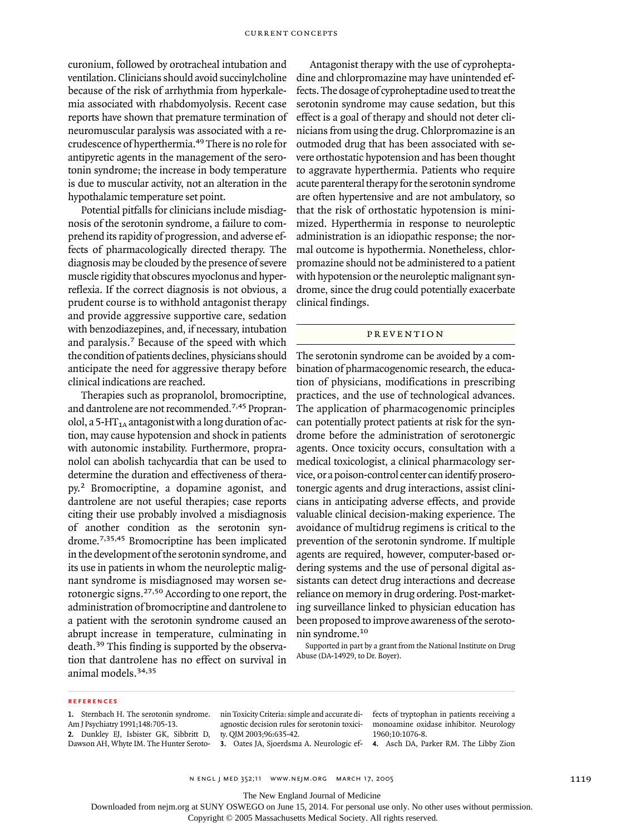curonium, followed by orotracheal intubation and ventilation. Clinicians should avoid succinylcholine because of the risk of arrhythmia from hyperkalemia associated with rhabdomyolysis. Recent case reports have shown that premature termination of neuromuscular paralysis was associated with a recrudescence of hyperthermia.49 There is no role for antipyretic agents in the management of the serotonin syndrome; the increase in body temperature is due to muscular activity, not an alteration in the hypothalamic temperature set point.

Potential pitfalls for clinicians include misdiagnosis of the serotonin syndrome, a failure to comprehend its rapidity of progression, and adverse effects of pharmacologically directed therapy. The diagnosis may be clouded by the presence of severe muscle rigidity that obscures myoclonus and hyperreflexia. If the correct diagnosis is not obvious, a prudent course is to withhold antagonist therapy and provide aggressive supportive care, sedation with benzodiazepines, and, if necessary, intubation and paralysis.7 Because of the speed with which the condition of patients declines, physicians should anticipate the need for aggressive therapy before clinical indications are reached.

Therapies such as propranolol, bromocriptine, and dantrolene are not recommended.<sup>7,45</sup> Propranolol, a 5-HT<sub>1A</sub> antagonist with a long duration of action, may cause hypotension and shock in patients with autonomic instability. Furthermore, propranolol can abolish tachycardia that can be used to determine the duration and effectiveness of therapy.2 Bromocriptine, a dopamine agonist, and dantrolene are not useful therapies; case reports citing their use probably involved a misdiagnosis of another condition as the serotonin syndrome.7,35,45 Bromocriptine has been implicated in the development of the serotonin syndrome, and its use in patients in whom the neuroleptic malignant syndrome is misdiagnosed may worsen serotonergic signs.27,50 According to one report, the administration of bromocriptine and dantrolene to a patient with the serotonin syndrome caused an abrupt increase in temperature, culminating in death.39 This finding is supported by the observation that dantrolene has no effect on survival in animal models.34,35

Antagonist therapy with the use of cyproheptadine and chlorpromazine may have unintended effects. The dosage of cyproheptadine used to treat the serotonin syndrome may cause sedation, but this effect is a goal of therapy and should not deter clinicians from using the drug. Chlorpromazine is an outmoded drug that has been associated with severe orthostatic hypotension and has been thought to aggravate hyperthermia. Patients who require acute parenteral therapy for the serotonin syndrome are often hypertensive and are not ambulatory, so that the risk of orthostatic hypotension is minimized. Hyperthermia in response to neuroleptic administration is an idiopathic response; the normal outcome is hypothermia. Nonetheless, chlorpromazine should not be administered to a patient with hypotension or the neuroleptic malignant syndrome, since the drug could potentially exacerbate clinical findings.

## prevention

The serotonin syndrome can be avoided by a combination of pharmacogenomic research, the education of physicians, modifications in prescribing practices, and the use of technological advances. The application of pharmacogenomic principles can potentially protect patients at risk for the syndrome before the administration of serotonergic agents. Once toxicity occurs, consultation with a medical toxicologist, a clinical pharmacology service, or a poison-control center can identify proserotonergic agents and drug interactions, assist clinicians in anticipating adverse effects, and provide valuable clinical decision-making experience. The avoidance of multidrug regimens is critical to the prevention of the serotonin syndrome. If multiple agents are required, however, computer-based ordering systems and the use of personal digital assistants can detect drug interactions and decrease reliance on memory in drug ordering. Post-marketing surveillance linked to physician education has been proposed to improve awareness of the serotonin syndrome.<sup>10</sup>

Supported in part by a grant from the National Institute on Drug Abuse (DA-14929, to Dr. Boyer).

#### **references**

**1.** Sternbach H. The serotonin syndrome. Am J Psychiatry 1991;148:705-13. **2.** Dunkley EJ, Isbister GK, Sibbritt D, Dawson AH, Whyte IM. The Hunter Serotonin Toxicity Criteria: simple and accurate diagnostic decision rules for serotonin toxicity. QJM 2003;96:635-42. **3.** Oates JA, Sjoerdsma A. Neurologic effects of tryptophan in patients receiving a monoamine oxidase inhibitor. Neurology 1960;10:1076-8.

**4.** Asch DA, Parker RM. The Libby Zion

n engl j med 352;11 www.nejm.org march 17, 2005

1119

The New England Journal of Medicine

Downloaded from nejm.org at SUNY OSWEGO on June 15, 2014. For personal use only. No other uses without permission.